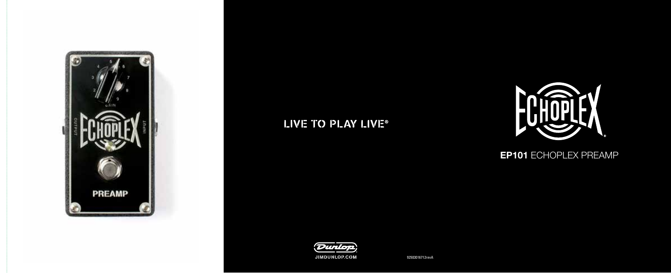

## LIVE TO PLAY LIVE®



### **EP101 ECHOPLEX PREAMP**



92503016712revA